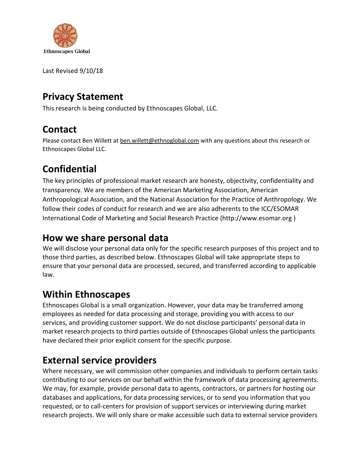

Last Revised 9/10/18

# **Privacy Statement**

This research is being conducted by Ethnoscapes Global, LLC.

# **Contact**

Please contact Ben Willett at [ben.willett@ethnoglobal.com](mailto:ben.willett@ethnoglobal.com) with any questions about this research or Ethnoscapes Global LLC.

# **Confidential**

The key principles of professional market research are honesty, objectivity, confidentiality and transparency. We are members of the American Marketing Association, American Anthropological Association, and the National Association for the Practice of Anthropology. We follow their codes of conduct for research and we are also adherents to the ICC/ESOMAR International Code of Marketing and Social Research Practice (http://www.esomar.org )

#### **How we share personal data**

We will disclose your personal data only for the specific research purposes of this project and to those third parties, as described below. Ethnoscapes Global will take appropriate steps to ensure that your personal data are processed, secured, and transferred according to applicable law.

## **Within Ethnoscapes**

Ethnoscapes Global is a small organization. However, your data may be transferred among employees as needed for data processing and storage, providing you with access to our services, and providing customer support. We do not disclose participants' personal data in market research projects to third parties outside of Ethnoscapes Global unless the participants have declared their prior explicit consent for the specific purpose.

## **External service providers**

Where necessary, we will commission other companies and individuals to perform certain tasks contributing to our services on our behalf within the framework of data processing agreements. We may, for example, provide personal data to agents, contractors, or partners for hosting our databases and applications, for data processing services, or to send you information that you requested, or to call-centers for provision of support services or interviewing during market research projects. We will only share or make accessible such data to external service providers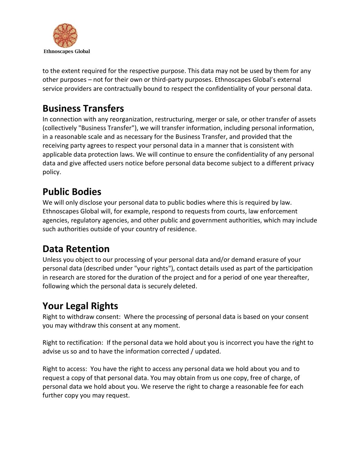

to the extent required for the respective purpose. This data may not be used by them for any other purposes – not for their own or third-party purposes. Ethnoscapes Global's external service providers are contractually bound to respect the confidentiality of your personal data.

#### **Business Transfers**

In connection with any reorganization, restructuring, merger or sale, or other transfer of assets (collectively "Business Transfer"), we will transfer information, including personal information, in a reasonable scale and as necessary for the Business Transfer, and provided that the receiving party agrees to respect your personal data in a manner that is consistent with applicable data protection laws. We will continue to ensure the confidentiality of any personal data and give affected users notice before personal data become subject to a different privacy policy.

#### **Public Bodies**

We will only disclose your personal data to public bodies where this is required by law. Ethnoscapes Global will, for example, respond to requests from courts, law enforcement agencies, regulatory agencies, and other public and government authorities, which may include such authorities outside of your country of residence.

## **Data Retention**

Unless you object to our processing of your personal data and/or demand erasure of your personal data (described under "your rights"), contact details used as part of the participation in research are stored for the duration of the project and for a period of one year thereafter, following which the personal data is securely deleted.

## **Your Legal Rights**

Right to withdraw consent: Where the processing of personal data is based on your consent you may withdraw this consent at any moment.

Right to rectification: If the personal data we hold about you is incorrect you have the right to advise us so and to have the information corrected / updated.

Right to access: You have the right to access any personal data we hold about you and to request a copy of that personal data. You may obtain from us one copy, free of charge, of personal data we hold about you. We reserve the right to charge a reasonable fee for each further copy you may request.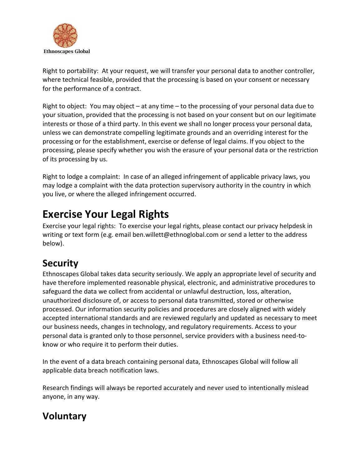

Right to portability: At your request, we will transfer your personal data to another controller, where technical feasible, provided that the processing is based on your consent or necessary for the performance of a contract.

Right to object: You may object – at any time – to the processing of your personal data due to your situation, provided that the processing is not based on your consent but on our legitimate interests or those of a third party. In this event we shall no longer process your personal data, unless we can demonstrate compelling legitimate grounds and an overriding interest for the processing or for the establishment, exercise or defense of legal claims. If you object to the processing, please specify whether you wish the erasure of your personal data or the restriction of its processing by us.

Right to lodge a complaint: In case of an alleged infringement of applicable privacy laws, you may lodge a complaint with the data protection supervisory authority in the country in which you live, or where the alleged infringement occurred.

# **Exercise Your Legal Rights**

Exercise your legal rights: To exercise your legal rights, please contact our privacy helpdesk in writing or text form (e.g. email ben.willett@ethnoglobal.com or send a letter to the address below).

# **Security**

Ethnoscapes Global takes data security seriously. We apply an appropriate level of security and have therefore implemented reasonable physical, electronic, and administrative procedures to safeguard the data we collect from accidental or unlawful destruction, loss, alteration, unauthorized disclosure of, or access to personal data transmitted, stored or otherwise processed. Our information security policies and procedures are closely aligned with widely accepted international standards and are reviewed regularly and updated as necessary to meet our business needs, changes in technology, and regulatory requirements. Access to your personal data is granted only to those personnel, service providers with a business need-toknow or who require it to perform their duties.

In the event of a data breach containing personal data, Ethnoscapes Global will follow all applicable data breach notification laws.

Research findings will always be reported accurately and never used to intentionally mislead anyone, in any way.

# **Voluntary**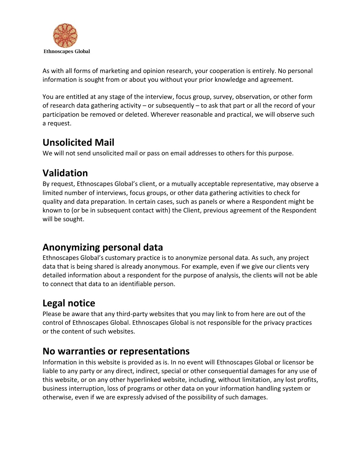

As with all forms of marketing and opinion research, your cooperation is entirely. No personal information is sought from or about you without your prior knowledge and agreement.

You are entitled at any stage of the interview, focus group, survey, observation, or other form of research data gathering activity – or subsequently – to ask that part or all the record of your participation be removed or deleted. Wherever reasonable and practical, we will observe such a request.

#### **Unsolicited Mail**

We will not send unsolicited mail or pass on email addresses to others for this purpose.

## **Validation**

By request, Ethnoscapes Global's client, or a mutually acceptable representative, may observe a limited number of interviews, focus groups, or other data gathering activities to check for quality and data preparation. In certain cases, such as panels or where a Respondent might be known to (or be in subsequent contact with) the Client, previous agreement of the Respondent will be sought.

## **Anonymizing personal data**

Ethnoscapes Global's customary practice is to anonymize personal data. As such, any project data that is being shared is already anonymous. For example, even if we give our clients very detailed information about a respondent for the purpose of analysis, the clients will not be able to connect that data to an identifiable person.

## **Legal notice**

Please be aware that any third-party websites that you may link to from here are out of the control of Ethnoscapes Global. Ethnoscapes Global is not responsible for the privacy practices or the content of such websites.

#### **No warranties or representations**

Information in this website is provided as is. In no event will Ethnoscapes Global or licensor be liable to any party or any direct, indirect, special or other consequential damages for any use of this website, or on any other hyperlinked website, including, without limitation, any lost profits, business interruption, loss of programs or other data on your information handling system or otherwise, even if we are expressly advised of the possibility of such damages.